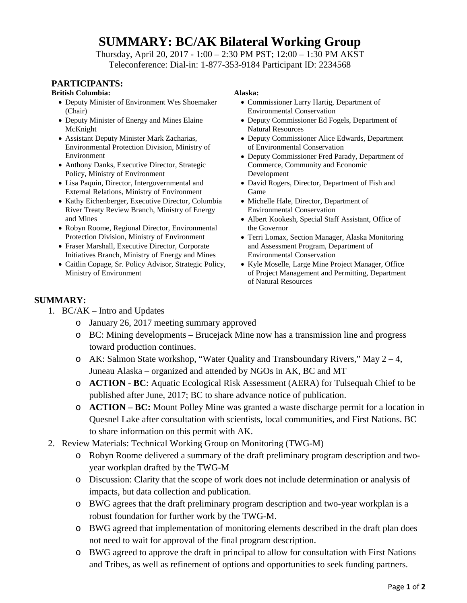# **SUMMARY: BC/AK Bilateral Working Group**

Thursday, April 20, 2017 - 1:00 – 2:30 PM PST; 12:00 – 1:30 PM AKST Teleconference: Dial-in: 1-877-353-9184 Participant ID: 2234568

# **PARTICIPANTS:**

### **British Columbia: Alaska:**

- Deputy Minister of Environment Wes Shoemaker (Chair)
- Deputy Minister of Energy and Mines Elaine McKnight
- Assistant Deputy Minister Mark Zacharias, Environmental Protection Division, Ministry of Environment
- Anthony Danks, Executive Director, Strategic Policy, Ministry of Environment
- Lisa Paquin, Director, Intergovernmental and External Relations, Ministry of Environment
- Kathy Eichenberger, Executive Director, Columbia River Treaty Review Branch, Ministry of Energy and Mines
- Robyn Roome, Regional Director, Environmental Protection Division, Ministry of Environment
- Fraser Marshall, Executive Director, Corporate Initiatives Branch, Ministry of Energy and Mines
- Caitlin Copage, Sr. Policy Advisor, Strategic Policy, Ministry of Environment

- Commissioner Larry Hartig, Department of Environmental Conservation
- Deputy Commissioner Ed Fogels, Department of Natural Resources
- Deputy Commissioner Alice Edwards, Department of Environmental Conservation
- Deputy Commissioner Fred Parady, Department of Commerce, Community and Economic Development
- David Rogers, Director, Department of Fish and Game
- Michelle Hale, Director, Department of Environmental Conservation
- Albert Kookesh, Special Staff Assistant, Office of the Governor
- Terri Lomax, Section Manager, Alaska Monitoring and Assessment Program, Department of Environmental Conservation
- Kyle Moselle, Large Mine Project Manager, Office of Project Management and Permitting, Department of Natural Resources

## **SUMMARY:**

- 1. BC/AK Intro and Updates
	- o January 26, 2017 meeting summary approved
	- o BC: Mining developments Brucejack Mine now has a transmission line and progress toward production continues.
	- o AK: Salmon State workshop, "Water Quality and Transboundary Rivers," May 2 4, Juneau Alaska – organized and attended by NGOs in AK, BC and MT
	- o **ACTION - BC**: Aquatic Ecological Risk Assessment (AERA) for Tulsequah Chief to be published after June, 2017; BC to share advance notice of publication.
	- o **ACTION – BC:** Mount Polley Mine was granted a waste discharge permit for a location in Quesnel Lake after consultation with scientists, local communities, and First Nations. BC to share information on this permit with AK.
- 2. Review Materials: Technical Working Group on Monitoring (TWG-M)
	- o Robyn Roome delivered a summary of the draft preliminary program description and twoyear workplan drafted by the TWG-M
	- o Discussion: Clarity that the scope of work does not include determination or analysis of impacts, but data collection and publication.
	- o BWG agrees that the draft preliminary program description and two-year workplan is a robust foundation for further work by the TWG-M.
	- o BWG agreed that implementation of monitoring elements described in the draft plan does not need to wait for approval of the final program description.
	- o BWG agreed to approve the draft in principal to allow for consultation with First Nations and Tribes, as well as refinement of options and opportunities to seek funding partners.